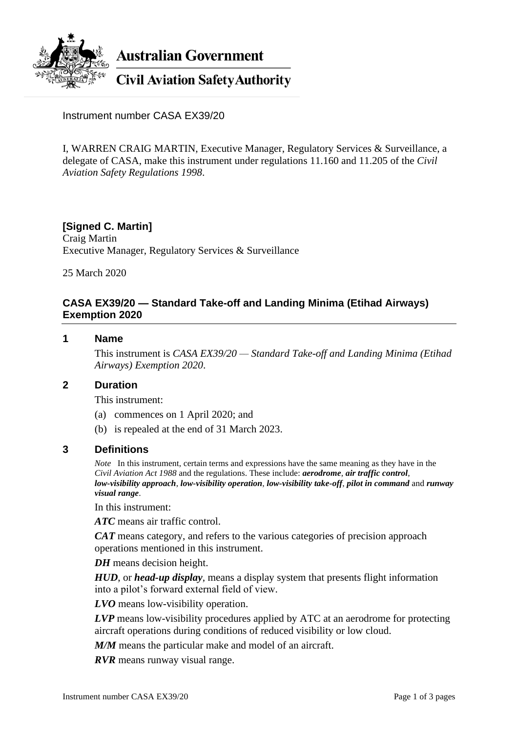

**Australian Government** 

**Civil Aviation Safety Authority** 

Instrument number CASA EX39/20

I, WARREN CRAIG MARTIN, Executive Manager, Regulatory Services & Surveillance, a delegate of CASA, make this instrument under regulations 11.160 and 11.205 of the *Civil Aviation Safety Regulations 1998*.

### **[Signed C. Martin]** Craig Martin Executive Manager, Regulatory Services & Surveillance

25 March 2020

# **CASA EX39/20 — Standard Take-off and Landing Minima (Etihad Airways) Exemption 2020**

#### **1 Name**

This instrument is *CASA EX39/20 — Standard Take-off and Landing Minima (Etihad Airways) Exemption 2020*.

#### **2 Duration**

This instrument:

- (a) commences on 1 April 2020; and
- (b) is repealed at the end of 31 March 2023.

#### **3 Definitions**

*Note* In this instrument, certain terms and expressions have the same meaning as they have in the *Civil Aviation Act 1988* and the regulations. These include: *aerodrome*, *air traffic control*, *low-visibility approach*, *low-visibility operation*, *low-visibility take-off*, *pilot in command* and *runway visual range*.

In this instrument:

*ATC* means air traffic control.

*CAT* means category, and refers to the various categories of precision approach operations mentioned in this instrument.

*DH* means decision height.

*HUD*, or *head-up display*, means a display system that presents flight information into a pilot's forward external field of view.

*LVO* means low-visibility operation.

*LVP* means low-visibility procedures applied by ATC at an aerodrome for protecting aircraft operations during conditions of reduced visibility or low cloud.

*M/M* means the particular make and model of an aircraft.

*RVR* means runway visual range.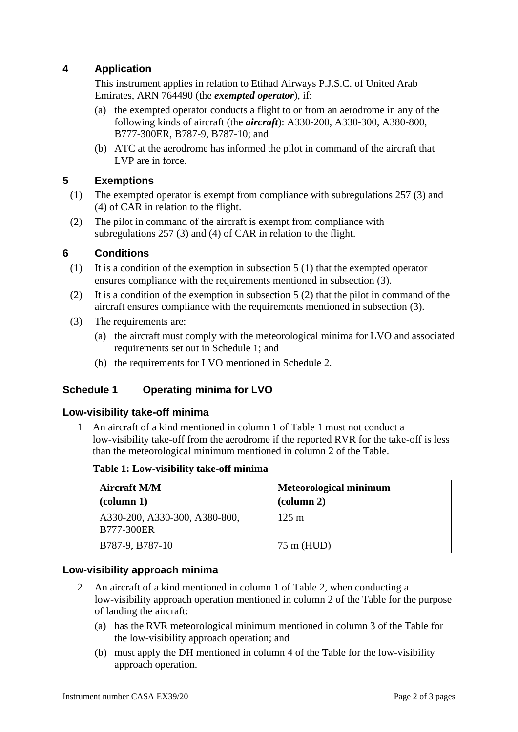# **4 Application**

This instrument applies in relation to Etihad Airways P.J.S.C. of United Arab Emirates, ARN 764490 (the *exempted operator*), if:

- (a) the exempted operator conducts a flight to or from an aerodrome in any of the following kinds of aircraft (the *aircraft*): A330-200, A330-300, A380-800, B777-300ER, B787-9, B787-10; and
- (b) ATC at the aerodrome has informed the pilot in command of the aircraft that LVP are in force.

# **5 Exemptions**

- (1) The exempted operator is exempt from compliance with subregulations 257 (3) and (4) of CAR in relation to the flight.
- (2) The pilot in command of the aircraft is exempt from compliance with subregulations 257 (3) and (4) of CAR in relation to the flight.

## **6 Conditions**

- (1) It is a condition of the exemption in subsection 5 (1) that the exempted operator ensures compliance with the requirements mentioned in subsection (3).
- (2) It is a condition of the exemption in subsection  $5(2)$  that the pilot in command of the aircraft ensures compliance with the requirements mentioned in subsection (3).
- (3) The requirements are:
	- (a) the aircraft must comply with the meteorological minima for LVO and associated requirements set out in Schedule 1; and
	- (b) the requirements for LVO mentioned in Schedule 2.

## **Schedule 1 Operating minima for LVO**

## **Low-visibility take-off minima**

1 An aircraft of a kind mentioned in column 1 of Table 1 must not conduct a low-visibility take-off from the aerodrome if the reported RVR for the take-off is less than the meteorological minimum mentioned in column 2 of the Table.

**Table 1: Low-visibility take-off minima**

| <b>Aircraft M/M</b><br>$\alpha$ (column 1)         | <b>Meteorological minimum</b><br>$\left(\text{column } 2\right)$ |
|----------------------------------------------------|------------------------------------------------------------------|
| A330-200, A330-300, A380-800,<br><b>B777-300ER</b> | $125 \text{ m}$                                                  |
| B787-9, B787-10                                    | $75 \text{ m}$ (HUD)                                             |

## **Low-visibility approach minima**

- 2 An aircraft of a kind mentioned in column 1 of Table 2, when conducting a low-visibility approach operation mentioned in column 2 of the Table for the purpose of landing the aircraft:
	- (a) has the RVR meteorological minimum mentioned in column 3 of the Table for the low-visibility approach operation; and
	- (b) must apply the DH mentioned in column 4 of the Table for the low-visibility approach operation.